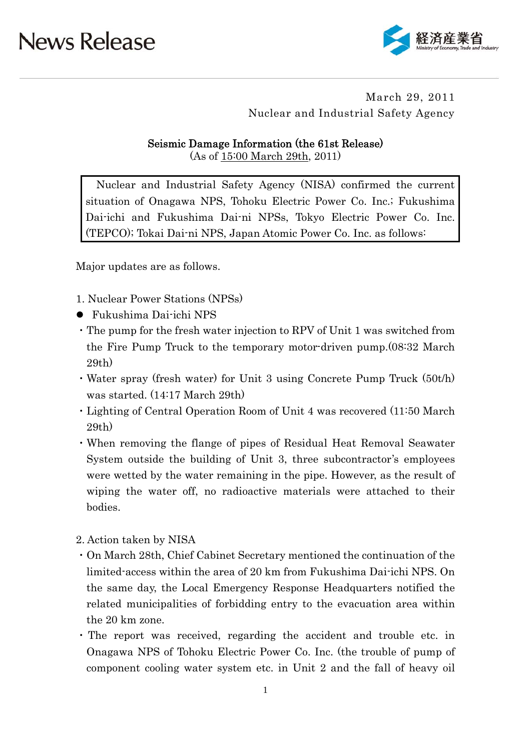

### March 29, 2011 Nuclear and Industrial Safety Agency

### Seismic Damage Information (the 61st Release)

(As of 15:00 March 29th, 2011)

Nuclear and Industrial Safety Agency (NISA) confirmed the current situation of Onagawa NPS, Tohoku Electric Power Co. Inc.; Fukushima Dai-ichi and Fukushima Dai-ni NPSs, Tokyo Electric Power Co. Inc. (TEPCO); Tokai Dai-ni NPS, Japan Atomic Power Co. Inc. as follows:

Major updates are as follows.

- 1. Nuclear Power Stations (NPSs)
- Fukushima Dai-ichi NPS
- ・The pump for the fresh water injection to RPV of Unit 1 was switched from the Fire Pump Truck to the temporary motor-driven pump.(08:32 March 29th)
- ・Water spray (fresh water) for Unit 3 using Concrete Pump Truck (50t/h) was started. (14:17 March 29th)
- ・Lighting of Central Operation Room of Unit 4 was recovered (11:50 March 29th)
- ・When removing the flange of pipes of Residual Heat Removal Seawater System outside the building of Unit 3, three subcontractor's employees were wetted by the water remaining in the pipe. However, as the result of wiping the water off, no radioactive materials were attached to their bodies.
- 2. Action taken by NISA
- ・On March 28th, Chief Cabinet Secretary mentioned the continuation of the limited-access within the area of 20 km from Fukushima Dai-ichi NPS. On the same day, the Local Emergency Response Headquarters notified the related municipalities of forbidding entry to the evacuation area within the 20 km zone.
- ・The report was received, regarding the accident and trouble etc. in Onagawa NPS of Tohoku Electric Power Co. Inc. (the trouble of pump of component cooling water system etc. in Unit 2 and the fall of heavy oil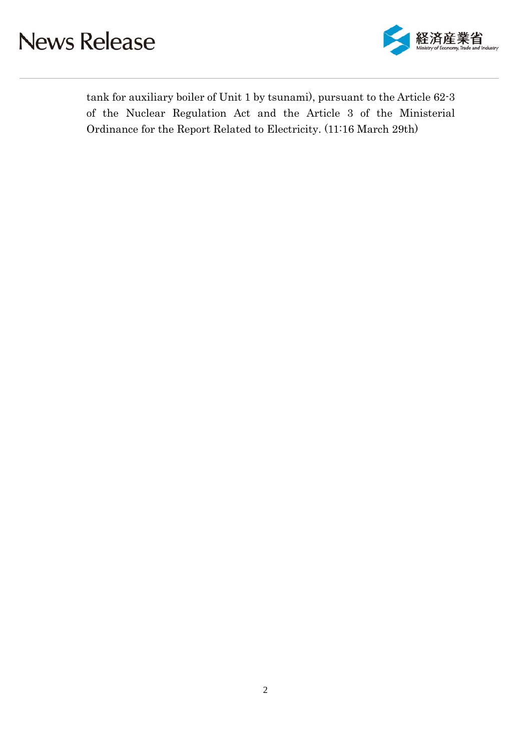

tank for auxiliary boiler of Unit 1 by tsunami), pursuant to the Article 62-3 of the Nuclear Regulation Act and the Article 3 of the Ministerial Ordinance for the Report Related to Electricity. (11:16 March 29th)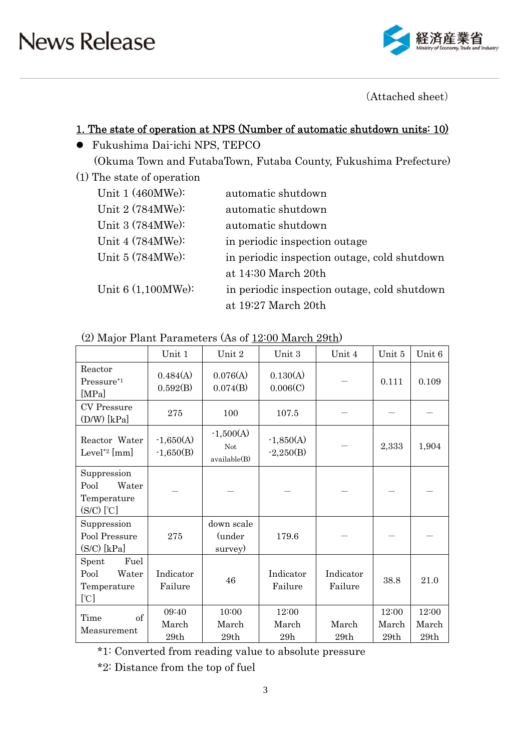

(Attached sheet)

### 1. The state of operation at NPS (Number of automatic shutdown units: 10)

- Fukushima Dai-ichi NPS, TEPCO (Okuma Town and FutabaTown, Futaba County, Fukushima Prefecture)
- (1) The state of operation

| Unit $1(460MWe):$    | automatic shutdown                           |
|----------------------|----------------------------------------------|
| Unit 2 (784MWe):     | automatic shutdown                           |
| Unit 3 (784MWe):     | automatic shutdown                           |
| Unit $4(784MWe):$    | in periodic inspection outage                |
| Unit $5(784MWe):$    | in periodic inspection outage, cold shutdown |
|                      | at 14:30 March 20th                          |
| Unit $6(1,100MWe)$ : | in periodic inspection outage, cold shutdown |
|                      | at 19:27 March 20th                          |

| (2) Major Plant Parameters (As of 12:00 March 29th) |
|-----------------------------------------------------|
|-----------------------------------------------------|

|                                                             | Unit 1                     | Unit 2                             | Unit 3                     | Unit 4               | Unit 5                 | Unit 6                 |
|-------------------------------------------------------------|----------------------------|------------------------------------|----------------------------|----------------------|------------------------|------------------------|
| Reactor<br>Pressure*1<br>[MPa]                              | 0.484(A)<br>0.592(B)       | 0.076(A)<br>0.074(B)               | 0.130(A)<br>0.006(C)       |                      | 0.111                  | 0.109                  |
| <b>CV</b> Pressure<br>$(D/W)$ [kPa]                         | 275                        | 100                                | 107.5                      |                      |                        |                        |
| Reactor Water<br>Level <sup>*2</sup> [mm]                   | $-1,650(A)$<br>$-1,650(B)$ | $-1,500(A)$<br>Not<br>available(B) | $-1,850(A)$<br>$-2,250(B)$ |                      | 2,333                  | 1,904                  |
| Suppression<br>Pool<br>Water<br>Temperature<br>$(S/C)$ [°C] |                            |                                    |                            |                      |                        |                        |
| Suppression<br>Pool Pressure<br>$(S/C)$ [kPa]               | 275                        | down scale<br>(under<br>survey)    | 179.6                      |                      |                        |                        |
| Fuel<br>Spent<br>Pool<br>Water<br>Temperature<br>[°C]       | Indicator<br>Failure       | 46                                 | Indicator<br>Failure       | Indicator<br>Failure | 38.8                   | 21.0                   |
| of<br>Time<br>Measurement                                   | 09:40<br>March<br>29th     | 10:00<br>March<br>29th             | 12:00<br>March<br>29h      | March<br>29th        | 12:00<br>March<br>29th | 12:00<br>March<br>29th |

\*1: Converted from reading value to absolute pressure

\*2: Distance from the top of fuel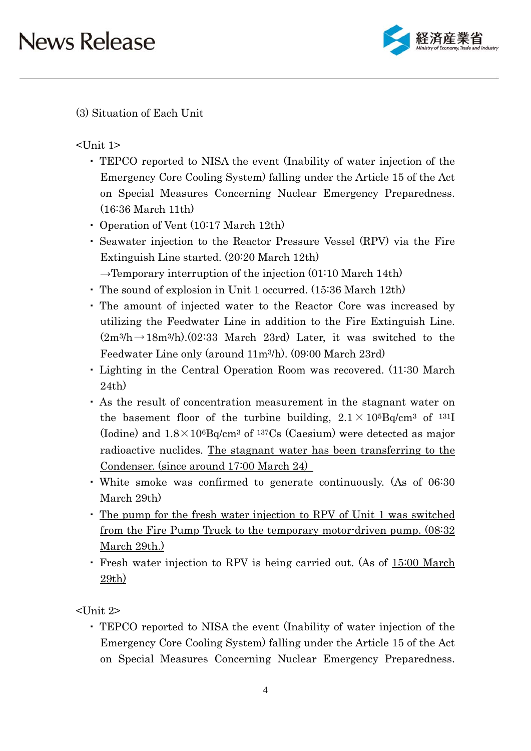

(3) Situation of Each Unit

<Unit 1>

- ・ TEPCO reported to NISA the event (Inability of water injection of the Emergency Core Cooling System) falling under the Article 15 of the Act on Special Measures Concerning Nuclear Emergency Preparedness. (16:36 March 11th)
- ・ Operation of Vent (10:17 March 12th)
- ・ Seawater injection to the Reactor Pressure Vessel (RPV) via the Fire Extinguish Line started. (20:20 March 12th)
- $\rightarrow$ Temporary interruption of the injection (01:10 March 14th)
- ・ The sound of explosion in Unit 1 occurred. (15:36 March 12th)
- ・ The amount of injected water to the Reactor Core was increased by utilizing the Feedwater Line in addition to the Fire Extinguish Line.  $(2m^3/h \rightarrow 18m^3/h)$ . (02:33 March 23rd) Later, it was switched to the Feedwater Line only (around 11m3/h). (09:00 March 23rd)
- ・ Lighting in the Central Operation Room was recovered. (11:30 March 24th)
- ・ As the result of concentration measurement in the stagnant water on the basement floor of the turbine building,  $2.1 \times 10^{5}$ Bq/cm<sup>3</sup> of <sup>131</sup>I (Iodine) and  $1.8 \times 10^6$ Bq/cm<sup>3</sup> of <sup>137</sup>Cs (Caesium) were detected as major radioactive nuclides. The stagnant water has been transferring to the Condenser. (since around 17:00 March 24)
- ・ White smoke was confirmed to generate continuously. (As of 06:30 March 29th)
- ・ The pump for the fresh water injection to RPV of Unit 1 was switched from the Fire Pump Truck to the temporary motor-driven pump. (08:32) March 29th.)
- ・ Fresh water injection to RPV is being carried out. (As of 15:00 March 29th)

<Unit 2>

・ TEPCO reported to NISA the event (Inability of water injection of the Emergency Core Cooling System) falling under the Article 15 of the Act on Special Measures Concerning Nuclear Emergency Preparedness.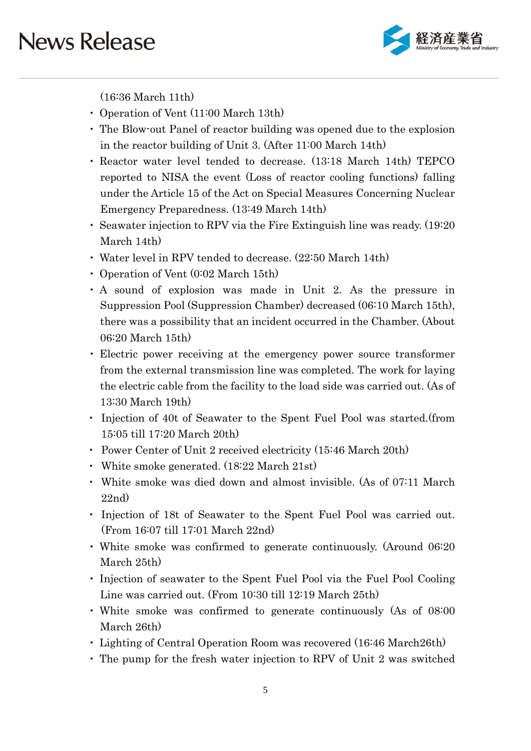

(16:36 March 11th)

- ・ Operation of Vent (11:00 March 13th)
- ・ The Blow-out Panel of reactor building was opened due to the explosion in the reactor building of Unit 3. (After 11:00 March 14th)
- ・ Reactor water level tended to decrease. (13:18 March 14th) TEPCO reported to NISA the event (Loss of reactor cooling functions) falling under the Article 15 of the Act on Special Measures Concerning Nuclear Emergency Preparedness. (13:49 March 14th)
- ・ Seawater injection to RPV via the Fire Extinguish line was ready. (19:20 March 14th)
- ・ Water level in RPV tended to decrease. (22:50 March 14th)
- ・ Operation of Vent (0:02 March 15th)
- ・ A sound of explosion was made in Unit 2. As the pressure in Suppression Pool (Suppression Chamber) decreased (06:10 March 15th), there was a possibility that an incident occurred in the Chamber. (About 06:20 March 15th)
- ・ Electric power receiving at the emergency power source transformer from the external transmission line was completed. The work for laying the electric cable from the facility to the load side was carried out. (As of 13:30 March 19th)
- ・ Injection of 40t of Seawater to the Spent Fuel Pool was started.(from 15:05 till 17:20 March 20th)
- ・ Power Center of Unit 2 received electricity (15:46 March 20th)
- ・ White smoke generated. (18:22 March 21st)
- ・ White smoke was died down and almost invisible. (As of 07:11 March 22nd)
- ・ Injection of 18t of Seawater to the Spent Fuel Pool was carried out. (From 16:07 till 17:01 March 22nd)
- ・ White smoke was confirmed to generate continuously. (Around 06:20 March 25th)
- ・ Injection of seawater to the Spent Fuel Pool via the Fuel Pool Cooling Line was carried out. (From 10:30 till 12:19 March 25th)
- ・ White smoke was confirmed to generate continuously (As of 08:00 March 26th)
- ・ Lighting of Central Operation Room was recovered (16:46 March26th)
- ・ The pump for the fresh water injection to RPV of Unit 2 was switched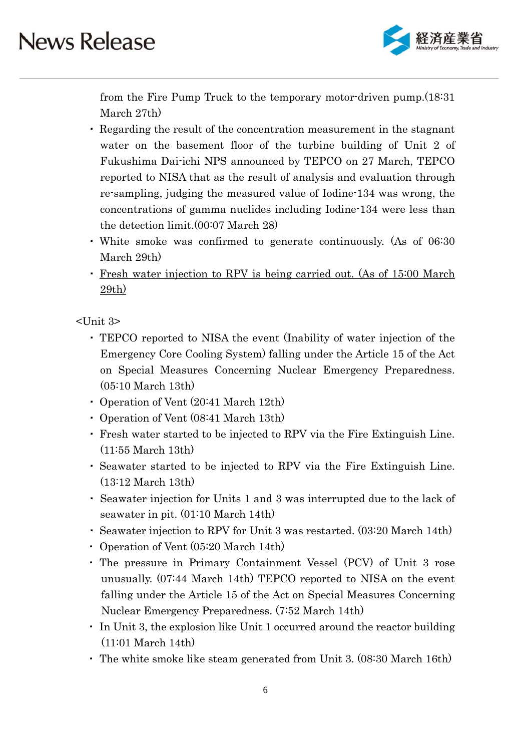

from the Fire Pump Truck to the temporary motor-driven pump.(18:31 March 27th)

- ・ Regarding the result of the concentration measurement in the stagnant water on the basement floor of the turbine building of Unit 2 of Fukushima Dai-ichi NPS announced by TEPCO on 27 March, TEPCO reported to NISA that as the result of analysis and evaluation through re-sampling, judging the measured value of Iodine-134 was wrong, the concentrations of gamma nuclides including Iodine-134 were less than the detection limit.(00:07 March 28)
- ・ White smoke was confirmed to generate continuously. (As of 06:30 March 29th)
- ・ Fresh water injection to RPV is being carried out. (As of 15:00 March 29th)

<Unit 3>

- ・ TEPCO reported to NISA the event (Inability of water injection of the Emergency Core Cooling System) falling under the Article 15 of the Act on Special Measures Concerning Nuclear Emergency Preparedness. (05:10 March 13th)
- ・ Operation of Vent (20:41 March 12th)
- ・ Operation of Vent (08:41 March 13th)
- ・ Fresh water started to be injected to RPV via the Fire Extinguish Line. (11:55 March 13th)
- ・ Seawater started to be injected to RPV via the Fire Extinguish Line. (13:12 March 13th)
- ・ Seawater injection for Units 1 and 3 was interrupted due to the lack of seawater in pit. (01:10 March 14th)
- ・ Seawater injection to RPV for Unit 3 was restarted. (03:20 March 14th)
- ・ Operation of Vent (05:20 March 14th)
- ・ The pressure in Primary Containment Vessel (PCV) of Unit 3 rose unusually. (07:44 March 14th) TEPCO reported to NISA on the event falling under the Article 15 of the Act on Special Measures Concerning Nuclear Emergency Preparedness. (7:52 March 14th)
- ・ In Unit 3, the explosion like Unit 1 occurred around the reactor building (11:01 March 14th)
- ・ The white smoke like steam generated from Unit 3. (08:30 March 16th)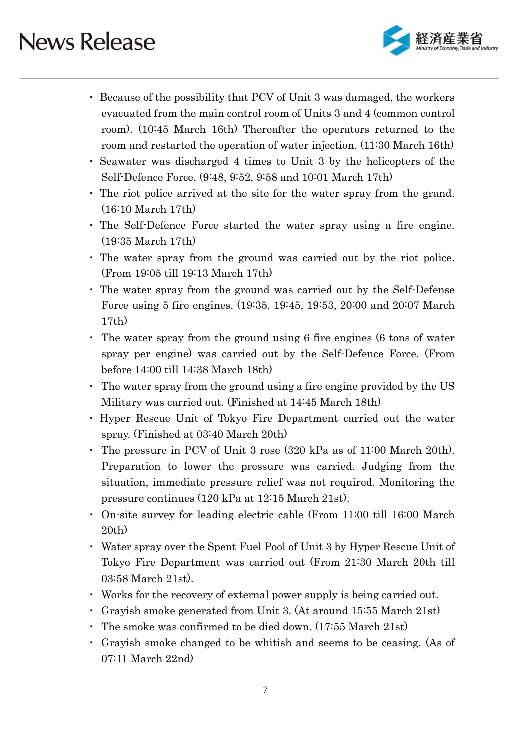

- ・ Because of the possibility that PCV of Unit 3 was damaged, the workers evacuated from the main control room of Units 3 and 4 (common control room). (10:45 March 16th) Thereafter the operators returned to the room and restarted the operation of water injection. (11:30 March 16th)
- ・ Seawater was discharged 4 times to Unit 3 by the helicopters of the Self-Defence Force. (9:48, 9:52, 9:58 and 10:01 March 17th)
- ・ The riot police arrived at the site for the water spray from the grand. (16:10 March 17th)
- ・ The Self-Defence Force started the water spray using a fire engine. (19:35 March 17th)
- ・ The water spray from the ground was carried out by the riot police. (From 19:05 till 19:13 March 17th)
- ・ The water spray from the ground was carried out by the Self-Defense Force using 5 fire engines. (19:35, 19:45, 19:53, 20:00 and 20:07 March 17th)
- ・ The water spray from the ground using 6 fire engines (6 tons of water spray per engine) was carried out by the Self-Defence Force. (From before 14:00 till 14:38 March 18th)
- ・ The water spray from the ground using a fire engine provided by the US Military was carried out. (Finished at 14:45 March 18th)
- ・ Hyper Rescue Unit of Tokyo Fire Department carried out the water spray. (Finished at 03:40 March 20th)
- ・ The pressure in PCV of Unit 3 rose (320 kPa as of 11:00 March 20th). Preparation to lower the pressure was carried. Judging from the situation, immediate pressure relief was not required. Monitoring the pressure continues (120 kPa at 12:15 March 21st).
- ・ On-site survey for leading electric cable (From 11:00 till 16:00 March 20th)
- ・ Water spray over the Spent Fuel Pool of Unit 3 by Hyper Rescue Unit of Tokyo Fire Department was carried out (From 21:30 March 20th till 03:58 March 21st).
- ・ Works for the recovery of external power supply is being carried out.
- Gravish smoke generated from Unit 3. (At around  $15:55$  March  $21st$ )
- ・ The smoke was confirmed to be died down. (17:55 March 21st)
- ・ Grayish smoke changed to be whitish and seems to be ceasing. (As of 07:11 March 22nd)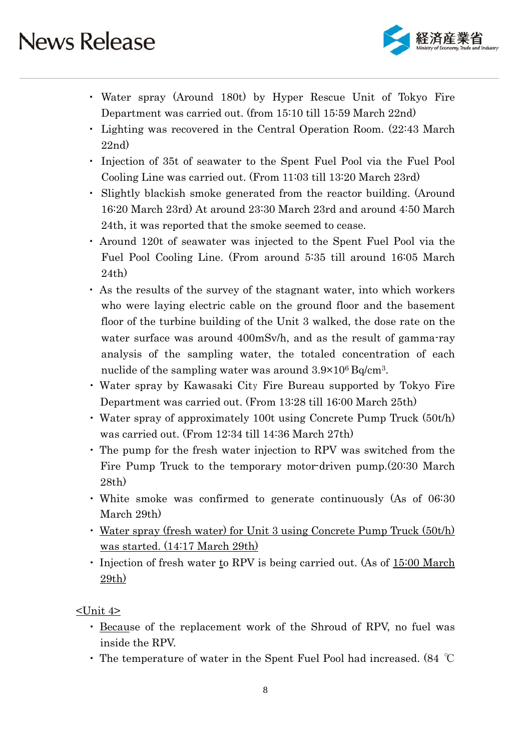

- ・ Water spray (Around 180t) by Hyper Rescue Unit of Tokyo Fire Department was carried out. (from 15:10 till 15:59 March 22nd)
- ・ Lighting was recovered in the Central Operation Room. (22:43 March 22nd)
- ・ Injection of 35t of seawater to the Spent Fuel Pool via the Fuel Pool Cooling Line was carried out. (From 11:03 till 13:20 March 23rd)
- ・ Slightly blackish smoke generated from the reactor building. (Around 16:20 March 23rd) At around 23:30 March 23rd and around 4:50 March 24th, it was reported that the smoke seemed to cease.
- ・ Around 120t of seawater was injected to the Spent Fuel Pool via the Fuel Pool Cooling Line. (From around 5:35 till around 16:05 March 24th)
- ・ As the results of the survey of the stagnant water, into which workers who were laying electric cable on the ground floor and the basement floor of the turbine building of the Unit 3 walked, the dose rate on the water surface was around 400mSv/h, and as the result of gamma-ray analysis of the sampling water, the totaled concentration of each nuclide of the sampling water was around  $3.9 \times 10^6$  Bq/cm<sup>3</sup>.
- ・ Water spray by Kawasaki City Fire Bureau supported by Tokyo Fire Department was carried out. (From 13:28 till 16:00 March 25th)
- ・ Water spray of approximately 100t using Concrete Pump Truck (50t/h) was carried out. (From 12:34 till 14:36 March 27th)
- ・ The pump for the fresh water injection to RPV was switched from the Fire Pump Truck to the temporary motor-driven pump.(20:30 March 28th)
- ・ White smoke was confirmed to generate continuously (As of 06:30 March 29th)
- Water spray (fresh water) for Unit 3 using Concrete Pump Truck (50t/h) was started. (14:17 March 29th)
- Injection of fresh water to RPV is being carried out. (As of 15:00 March 29th)

<Unit 4>

- ・ Because of the replacement work of the Shroud of RPV, no fuel was inside the RPV.
- ・ The temperature of water in the Spent Fuel Pool had increased. (84 ℃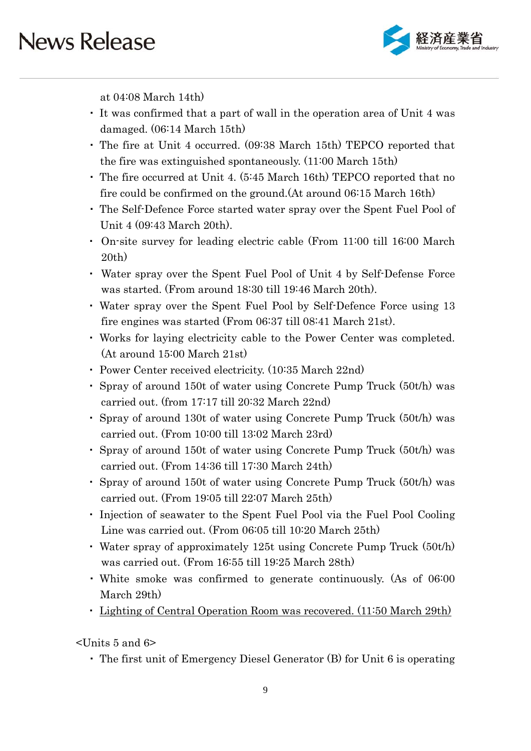

at 04:08 March 14th)

- ・ It was confirmed that a part of wall in the operation area of Unit 4 was damaged. (06:14 March 15th)
- ・ The fire at Unit 4 occurred. (09:38 March 15th) TEPCO reported that the fire was extinguished spontaneously. (11:00 March 15th)
- ・ The fire occurred at Unit 4. (5:45 March 16th) TEPCO reported that no fire could be confirmed on the ground.(At around 06:15 March 16th)
- ・ The Self-Defence Force started water spray over the Spent Fuel Pool of Unit 4 (09:43 March 20th).
- ・ On-site survey for leading electric cable (From 11:00 till 16:00 March 20th)
- ・ Water spray over the Spent Fuel Pool of Unit 4 by Self-Defense Force was started. (From around 18:30 till 19:46 March 20th).
- ・ Water spray over the Spent Fuel Pool by Self-Defence Force using 13 fire engines was started (From 06:37 till 08:41 March 21st).
- ・ Works for laying electricity cable to the Power Center was completed. (At around 15:00 March 21st)
- ・ Power Center received electricity. (10:35 March 22nd)
- ・ Spray of around 150t of water using Concrete Pump Truck (50t/h) was carried out. (from 17:17 till 20:32 March 22nd)
- ・ Spray of around 130t of water using Concrete Pump Truck (50t/h) was carried out. (From 10:00 till 13:02 March 23rd)
- ・ Spray of around 150t of water using Concrete Pump Truck (50t/h) was carried out. (From 14:36 till 17:30 March 24th)
- ・ Spray of around 150t of water using Concrete Pump Truck (50t/h) was carried out. (From 19:05 till 22:07 March 25th)
- ・ Injection of seawater to the Spent Fuel Pool via the Fuel Pool Cooling Line was carried out. (From 06:05 till 10:20 March 25th)
- ・ Water spray of approximately 125t using Concrete Pump Truck (50t/h) was carried out. (From 16:55 till 19:25 March 28th)
- ・ White smoke was confirmed to generate continuously. (As of 06:00 March 29th)
- ・ Lighting of Central Operation Room was recovered. (11:50 March 29th)

<Units 5 and 6>

・ The first unit of Emergency Diesel Generator (B) for Unit 6 is operating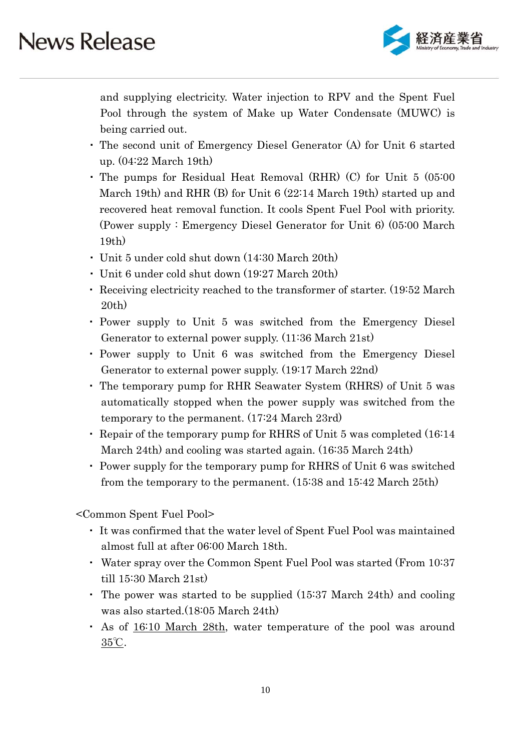

and supplying electricity. Water injection to RPV and the Spent Fuel Pool through the system of Make up Water Condensate (MUWC) is being carried out.

- ・ The second unit of Emergency Diesel Generator (A) for Unit 6 started up. (04:22 March 19th)
- ・ The pumps for Residual Heat Removal (RHR) (C) for Unit 5 (05:00 March 19th) and RHR (B) for Unit 6 (22:14 March 19th) started up and recovered heat removal function. It cools Spent Fuel Pool with priority. (Power supply : Emergency Diesel Generator for Unit 6) (05:00 March 19th)
- ・ Unit 5 under cold shut down (14:30 March 20th)
- ・ Unit 6 under cold shut down (19:27 March 20th)
- ・ Receiving electricity reached to the transformer of starter. (19:52 March 20th)
- ・ Power supply to Unit 5 was switched from the Emergency Diesel Generator to external power supply. (11:36 March 21st)
- ・ Power supply to Unit 6 was switched from the Emergency Diesel Generator to external power supply. (19:17 March 22nd)
- ・ The temporary pump for RHR Seawater System (RHRS) of Unit 5 was automatically stopped when the power supply was switched from the temporary to the permanent. (17:24 March 23rd)
- ・ Repair of the temporary pump for RHRS of Unit 5 was completed (16:14 March 24th) and cooling was started again. (16:35 March 24th)
- ・ Power supply for the temporary pump for RHRS of Unit 6 was switched from the temporary to the permanent. (15:38 and 15:42 March 25th)

<Common Spent Fuel Pool>

- ・ It was confirmed that the water level of Spent Fuel Pool was maintained almost full at after 06:00 March 18th.
- ・ Water spray over the Common Spent Fuel Pool was started (From 10:37 till 15:30 March 21st)
- ・ The power was started to be supplied (15:37 March 24th) and cooling was also started.(18:05 March 24th)
- ・ As of 16:10 March 28th, water temperature of the pool was around 35℃.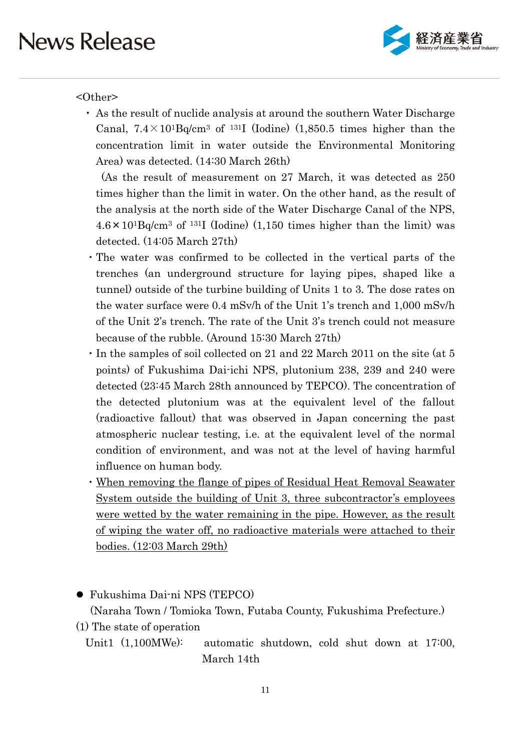

#### <Other>

・ As the result of nuclide analysis at around the southern Water Discharge Canal,  $7.4 \times 10^{1}$ Bq/cm<sup>3</sup> of <sup>131</sup>I (Iodine) (1,850.5 times higher than the concentration limit in water outside the Environmental Monitoring Area) was detected. (14:30 March 26th)

(As the result of measurement on 27 March, it was detected as 250 times higher than the limit in water. On the other hand, as the result of the analysis at the north side of the Water Discharge Canal of the NPS,  $4.6 \times 10^{1}$ Bq/cm<sup>3</sup> of <sup>131</sup>I (Iodine) (1,150 times higher than the limit) was detected. (14:05 March 27th)

- ・The water was confirmed to be collected in the vertical parts of the trenches (an underground structure for laying pipes, shaped like a tunnel) outside of the turbine building of Units 1 to 3. The dose rates on the water surface were 0.4 mSv/h of the Unit 1's trench and 1,000 mSv/h of the Unit 2's trench. The rate of the Unit 3's trench could not measure because of the rubble. (Around 15:30 March 27th)
- ・In the samples of soil collected on 21 and 22 March 2011 on the site (at 5 points) of Fukushima Dai-ichi NPS, plutonium 238, 239 and 240 were detected (23:45 March 28th announced by TEPCO). The concentration of the detected plutonium was at the equivalent level of the fallout (radioactive fallout) that was observed in Japan concerning the past atmospheric nuclear testing, i.e. at the equivalent level of the normal condition of environment, and was not at the level of having harmful influence on human body.
- ・When removing the flange of pipes of Residual Heat Removal Seawater System outside the building of Unit 3, three subcontractor's employees were wetted by the water remaining in the pipe. However, as the result of wiping the water off, no radioactive materials were attached to their bodies. (12:03 March 29th)

Fukushima Dai-ni NPS (TEPCO)

(Naraha Town / Tomioka Town, Futaba County, Fukushima Prefecture.)

- (1) The state of operation
	- Unit1 (1,100MWe): automatic shutdown, cold shut down at 17:00, March 14th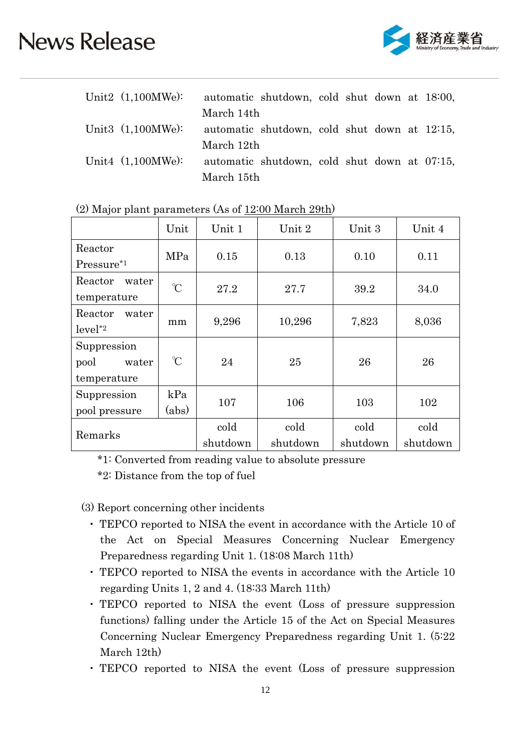

| Unit2 $(1,100MWe)$ : |            | automatic shutdown, cold shut down at 18:00, |  |  |  |
|----------------------|------------|----------------------------------------------|--|--|--|
|                      | March 14th |                                              |  |  |  |
| Unit3 $(1,100MWe)$ : |            | automatic shutdown, cold shut down at 12:15, |  |  |  |
|                      | March 12th |                                              |  |  |  |
| Unit4 $(1,100MWe)$ : |            | automatic shutdown, cold shut down at 07:15, |  |  |  |
|                      | March 15th |                                              |  |  |  |

|                        | Unit          | Unit 1   | Unit 2   | Unit 3   | Unit 4   |
|------------------------|---------------|----------|----------|----------|----------|
| Reactor                | MPa           | 0.15     | 0.13     | 0.10     | 0.11     |
| Pressure <sup>*1</sup> |               |          |          |          |          |
| Reactor<br>water       | $\gamma$      | 27.2     | 27.7     | 39.2     | 34.0     |
| temperature            |               |          |          |          |          |
| Reactor<br>water       |               |          |          |          |          |
| $level^*2$             | mm            | 9,296    | 10,296   | 7,823    | 8,036    |
| Suppression            |               |          |          |          |          |
| pool<br>water          | $\mathcal{C}$ | 24       | 25       | 26       | 26       |
| temperature            |               |          |          |          |          |
| Suppression            | kPa           |          |          |          |          |
| pool pressure          | (abs)         | 107      | 106      | 103      | 102      |
|                        |               | cold     | cold     | cold     | cold     |
| Remarks                |               | shutdown | shutdown | shutdown | shutdown |

| (2) Major plant parameters (As of 12:00 March 29th) |  |
|-----------------------------------------------------|--|
|-----------------------------------------------------|--|

\*1: Converted from reading value to absolute pressure

\*2: Distance from the top of fuel

(3) Report concerning other incidents

- ・ TEPCO reported to NISA the event in accordance with the Article 10 of the Act on Special Measures Concerning Nuclear Emergency Preparedness regarding Unit 1. (18:08 March 11th)
- ・ TEPCO reported to NISA the events in accordance with the Article 10 regarding Units 1, 2 and 4. (18:33 March 11th)
- ・ TEPCO reported to NISA the event (Loss of pressure suppression functions) falling under the Article 15 of the Act on Special Measures Concerning Nuclear Emergency Preparedness regarding Unit 1. (5:22 March 12th)
- ・ TEPCO reported to NISA the event (Loss of pressure suppression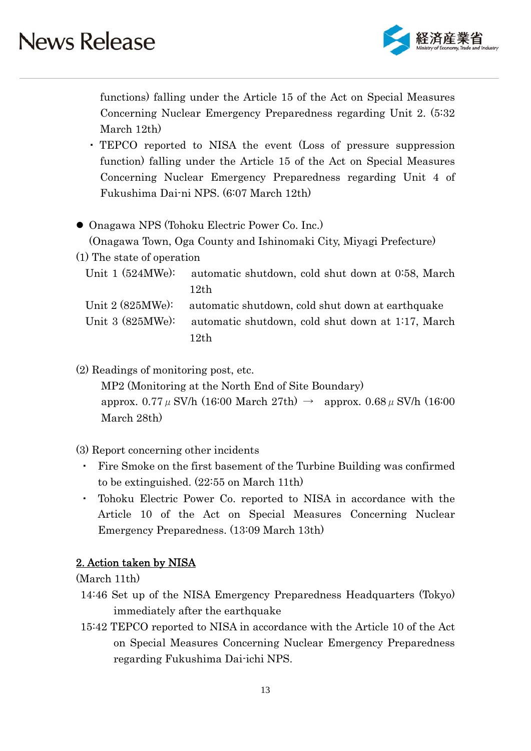

functions) falling under the Article 15 of the Act on Special Measures Concerning Nuclear Emergency Preparedness regarding Unit 2. (5:32 March 12th)

- ・ TEPCO reported to NISA the event (Loss of pressure suppression function) falling under the Article 15 of the Act on Special Measures Concerning Nuclear Emergency Preparedness regarding Unit 4 of Fukushima Dai-ni NPS. (6:07 March 12th)
- Onagawa NPS (Tohoku Electric Power Co. Inc.) (Onagawa Town, Oga County and Ishinomaki City, Miyagi Prefecture)
- (1) The state of operation

Unit 1 (524MWe): automatic shutdown, cold shut down at 0:58, March 12th Unit 2 (825MWe): automatic shutdown, cold shut down at earthquake

Unit 3 (825MWe): automatic shutdown, cold shut down at 1:17, March  $12th$ 

(2) Readings of monitoring post, etc.

MP2 (Monitoring at the North End of Site Boundary) approx. 0.77  $\mu$  SV/h (16:00 March 27th)  $\rightarrow$  approx. 0.68  $\mu$  SV/h (16:00 March 28th)

### (3) Report concerning other incidents

- ・ Fire Smoke on the first basement of the Turbine Building was confirmed to be extinguished. (22:55 on March 11th)
- Tohoku Electric Power Co. reported to NISA in accordance with the Article 10 of the Act on Special Measures Concerning Nuclear Emergency Preparedness. (13:09 March 13th)

### 2. Action taken by NISA

(March 11th)

- 14:46 Set up of the NISA Emergency Preparedness Headquarters (Tokyo) immediately after the earthquake
- 15:42 TEPCO reported to NISA in accordance with the Article 10 of the Act on Special Measures Concerning Nuclear Emergency Preparedness regarding Fukushima Dai-ichi NPS.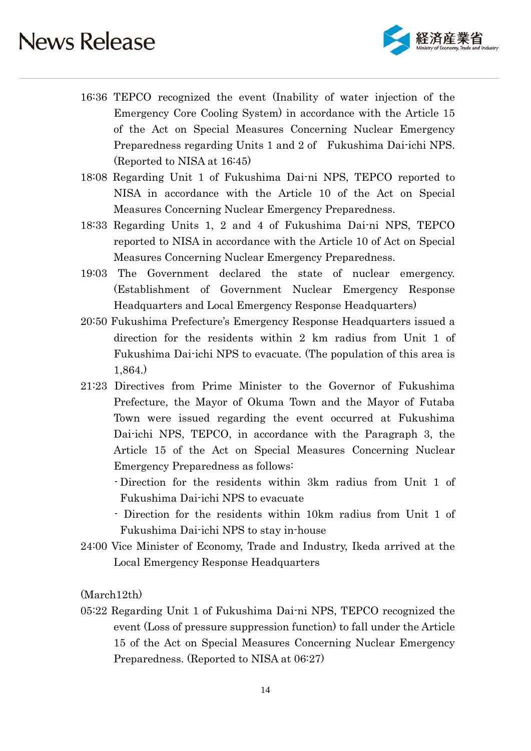

- 16:36 TEPCO recognized the event (Inability of water injection of the Emergency Core Cooling System) in accordance with the Article 15 of the Act on Special Measures Concerning Nuclear Emergency Preparedness regarding Units 1 and 2 of Fukushima Dai-ichi NPS. (Reported to NISA at 16:45)
- 18:08 Regarding Unit 1 of Fukushima Dai-ni NPS, TEPCO reported to NISA in accordance with the Article 10 of the Act on Special Measures Concerning Nuclear Emergency Preparedness.
- 18:33 Regarding Units 1, 2 and 4 of Fukushima Dai-ni NPS, TEPCO reported to NISA in accordance with the Article 10 of Act on Special Measures Concerning Nuclear Emergency Preparedness.
- 19:03 The Government declared the state of nuclear emergency. (Establishment of Government Nuclear Emergency Response Headquarters and Local Emergency Response Headquarters)
- 20:50 Fukushima Prefecture's Emergency Response Headquarters issued a direction for the residents within 2 km radius from Unit 1 of Fukushima Dai-ichi NPS to evacuate. (The population of this area is 1,864.)
- 21:23 Directives from Prime Minister to the Governor of Fukushima Prefecture, the Mayor of Okuma Town and the Mayor of Futaba Town were issued regarding the event occurred at Fukushima Dai-ichi NPS, TEPCO, in accordance with the Paragraph 3, the Article 15 of the Act on Special Measures Concerning Nuclear Emergency Preparedness as follows:
	- Direction for the residents within 3km radius from Unit 1 of Fukushima Dai-ichi NPS to evacuate
	- Direction for the residents within 10km radius from Unit 1 of Fukushima Dai-ichi NPS to stay in-house
- 24:00 Vice Minister of Economy, Trade and Industry, Ikeda arrived at the Local Emergency Response Headquarters

(March12th)

05:22 Regarding Unit 1 of Fukushima Dai-ni NPS, TEPCO recognized the event (Loss of pressure suppression function) to fall under the Article 15 of the Act on Special Measures Concerning Nuclear Emergency Preparedness. (Reported to NISA at 06:27)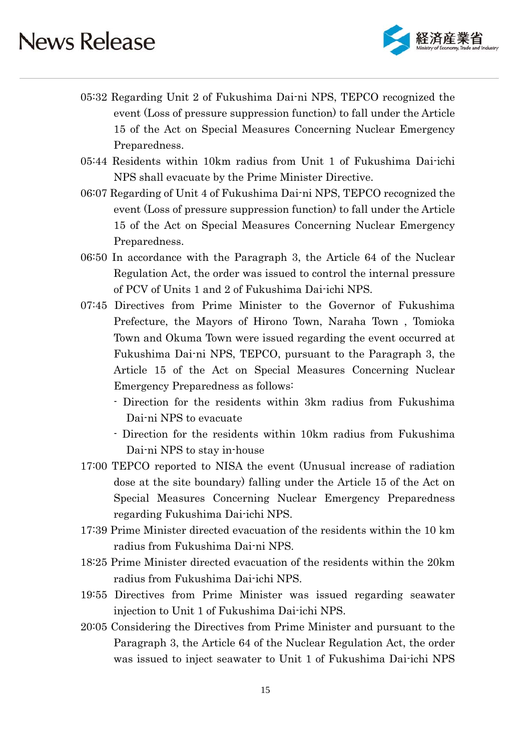

- 05:32 Regarding Unit 2 of Fukushima Dai-ni NPS, TEPCO recognized the event (Loss of pressure suppression function) to fall under the Article 15 of the Act on Special Measures Concerning Nuclear Emergency Preparedness.
- 05:44 Residents within 10km radius from Unit 1 of Fukushima Dai-ichi NPS shall evacuate by the Prime Minister Directive.
- 06:07 Regarding of Unit 4 of Fukushima Dai-ni NPS, TEPCO recognized the event (Loss of pressure suppression function) to fall under the Article 15 of the Act on Special Measures Concerning Nuclear Emergency Preparedness.
- 06:50 In accordance with the Paragraph 3, the Article 64 of the Nuclear Regulation Act, the order was issued to control the internal pressure of PCV of Units 1 and 2 of Fukushima Dai-ichi NPS.
- 07:45 Directives from Prime Minister to the Governor of Fukushima Prefecture, the Mayors of Hirono Town, Naraha Town , Tomioka Town and Okuma Town were issued regarding the event occurred at Fukushima Dai-ni NPS, TEPCO, pursuant to the Paragraph 3, the Article 15 of the Act on Special Measures Concerning Nuclear Emergency Preparedness as follows:
	- Direction for the residents within 3km radius from Fukushima Dai-ni NPS to evacuate
	- Direction for the residents within 10km radius from Fukushima Dai-ni NPS to stay in-house
- 17:00 TEPCO reported to NISA the event (Unusual increase of radiation dose at the site boundary) falling under the Article 15 of the Act on Special Measures Concerning Nuclear Emergency Preparedness regarding Fukushima Dai-ichi NPS.
- 17:39 Prime Minister directed evacuation of the residents within the 10 km radius from Fukushima Dai-ni NPS.
- 18:25 Prime Minister directed evacuation of the residents within the 20km radius from Fukushima Dai-ichi NPS.
- 19:55 Directives from Prime Minister was issued regarding seawater injection to Unit 1 of Fukushima Dai-ichi NPS.
- 20:05 Considering the Directives from Prime Minister and pursuant to the Paragraph 3, the Article 64 of the Nuclear Regulation Act, the order was issued to inject seawater to Unit 1 of Fukushima Dai-ichi NPS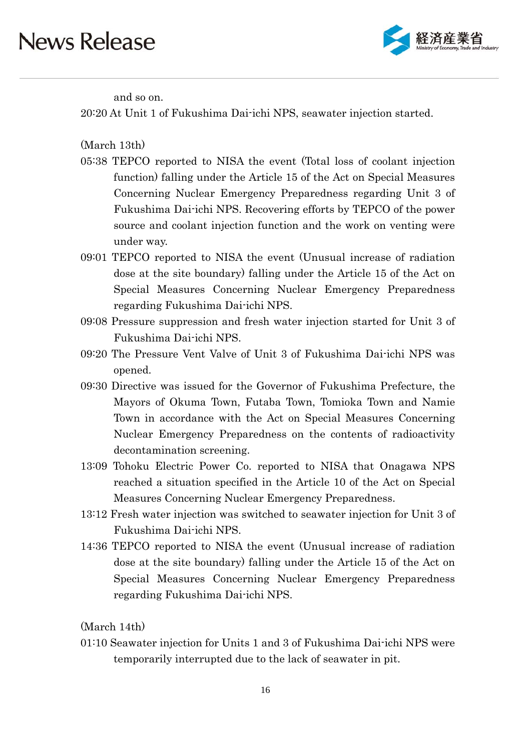

and so on.

20:20 At Unit 1 of Fukushima Dai-ichi NPS, seawater injection started.

(March 13th)

- 05:38 TEPCO reported to NISA the event (Total loss of coolant injection function) falling under the Article 15 of the Act on Special Measures Concerning Nuclear Emergency Preparedness regarding Unit 3 of Fukushima Dai-ichi NPS. Recovering efforts by TEPCO of the power source and coolant injection function and the work on venting were under way.
- 09:01 TEPCO reported to NISA the event (Unusual increase of radiation dose at the site boundary) falling under the Article 15 of the Act on Special Measures Concerning Nuclear Emergency Preparedness regarding Fukushima Dai-ichi NPS.
- 09:08 Pressure suppression and fresh water injection started for Unit 3 of Fukushima Dai-ichi NPS.
- 09:20 The Pressure Vent Valve of Unit 3 of Fukushima Dai-ichi NPS was opened.
- 09:30 Directive was issued for the Governor of Fukushima Prefecture, the Mayors of Okuma Town, Futaba Town, Tomioka Town and Namie Town in accordance with the Act on Special Measures Concerning Nuclear Emergency Preparedness on the contents of radioactivity decontamination screening.
- 13:09 Tohoku Electric Power Co. reported to NISA that Onagawa NPS reached a situation specified in the Article 10 of the Act on Special Measures Concerning Nuclear Emergency Preparedness.
- 13:12 Fresh water injection was switched to seawater injection for Unit 3 of Fukushima Dai-ichi NPS.
- 14:36 TEPCO reported to NISA the event (Unusual increase of radiation dose at the site boundary) falling under the Article 15 of the Act on Special Measures Concerning Nuclear Emergency Preparedness regarding Fukushima Dai-ichi NPS.

(March 14th)

01:10 Seawater injection for Units 1 and 3 of Fukushima Dai-ichi NPS were temporarily interrupted due to the lack of seawater in pit.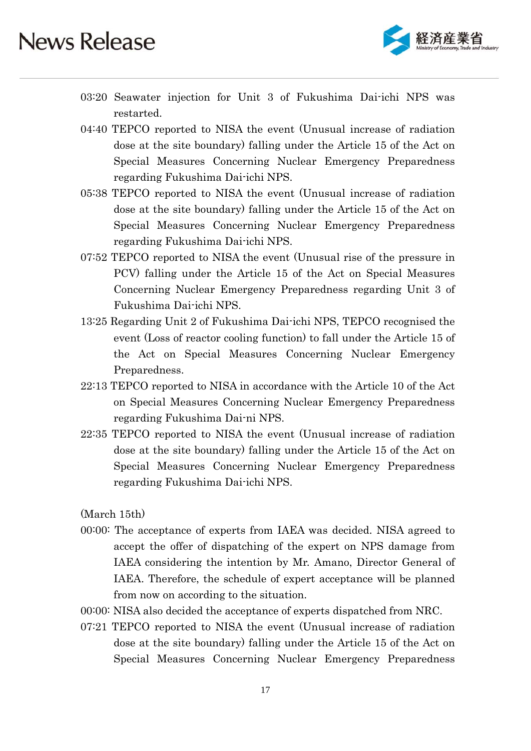

- 03:20 Seawater injection for Unit 3 of Fukushima Dai-ichi NPS was restarted.
- 04:40 TEPCO reported to NISA the event (Unusual increase of radiation dose at the site boundary) falling under the Article 15 of the Act on Special Measures Concerning Nuclear Emergency Preparedness regarding Fukushima Dai-ichi NPS.
- 05:38 TEPCO reported to NISA the event (Unusual increase of radiation dose at the site boundary) falling under the Article 15 of the Act on Special Measures Concerning Nuclear Emergency Preparedness regarding Fukushima Dai-ichi NPS.
- 07:52 TEPCO reported to NISA the event (Unusual rise of the pressure in PCV) falling under the Article 15 of the Act on Special Measures Concerning Nuclear Emergency Preparedness regarding Unit 3 of Fukushima Dai-ichi NPS.
- 13:25 Regarding Unit 2 of Fukushima Dai-ichi NPS, TEPCO recognised the event (Loss of reactor cooling function) to fall under the Article 15 of the Act on Special Measures Concerning Nuclear Emergency Preparedness.
- 22:13 TEPCO reported to NISA in accordance with the Article 10 of the Act on Special Measures Concerning Nuclear Emergency Preparedness regarding Fukushima Dai-ni NPS.
- 22:35 TEPCO reported to NISA the event (Unusual increase of radiation dose at the site boundary) falling under the Article 15 of the Act on Special Measures Concerning Nuclear Emergency Preparedness regarding Fukushima Dai-ichi NPS.

(March 15th)

- 00:00: The acceptance of experts from IAEA was decided. NISA agreed to accept the offer of dispatching of the expert on NPS damage from IAEA considering the intention by Mr. Amano, Director General of IAEA. Therefore, the schedule of expert acceptance will be planned from now on according to the situation.
- 00:00: NISA also decided the acceptance of experts dispatched from NRC.
- 07:21 TEPCO reported to NISA the event (Unusual increase of radiation dose at the site boundary) falling under the Article 15 of the Act on Special Measures Concerning Nuclear Emergency Preparedness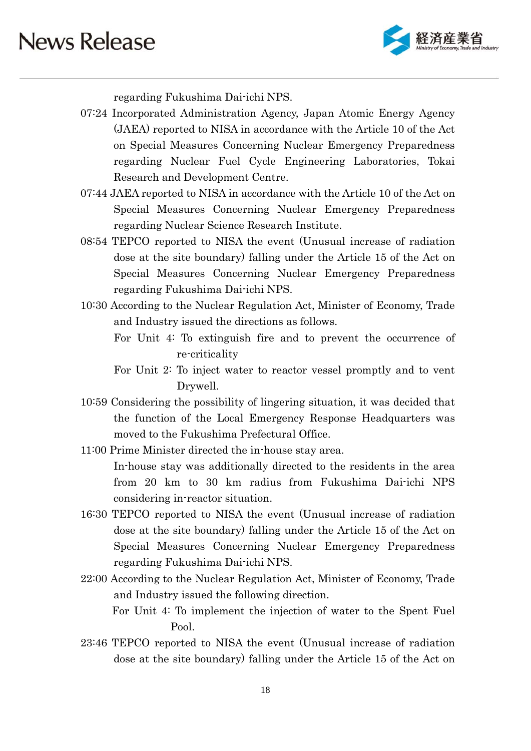

regarding Fukushima Dai-ichi NPS.

- 07:24 Incorporated Administration Agency, Japan Atomic Energy Agency (JAEA) reported to NISA in accordance with the Article 10 of the Act on Special Measures Concerning Nuclear Emergency Preparedness regarding Nuclear Fuel Cycle Engineering Laboratories, Tokai Research and Development Centre.
- 07:44 JAEA reported to NISA in accordance with the Article 10 of the Act on Special Measures Concerning Nuclear Emergency Preparedness regarding Nuclear Science Research Institute.
- 08:54 TEPCO reported to NISA the event (Unusual increase of radiation dose at the site boundary) falling under the Article 15 of the Act on Special Measures Concerning Nuclear Emergency Preparedness regarding Fukushima Dai-ichi NPS.
- 10:30 According to the Nuclear Regulation Act, Minister of Economy, Trade and Industry issued the directions as follows.
	- For Unit 4: To extinguish fire and to prevent the occurrence of re-criticality
	- For Unit 2: To inject water to reactor vessel promptly and to vent Drywell.
- 10:59 Considering the possibility of lingering situation, it was decided that the function of the Local Emergency Response Headquarters was moved to the Fukushima Prefectural Office.
- 11:00 Prime Minister directed the in-house stay area. In-house stay was additionally directed to the residents in the area from 20 km to 30 km radius from Fukushima Dai-ichi NPS considering in-reactor situation.
- 16:30 TEPCO reported to NISA the event (Unusual increase of radiation dose at the site boundary) falling under the Article 15 of the Act on Special Measures Concerning Nuclear Emergency Preparedness regarding Fukushima Dai-ichi NPS.
- 22:00 According to the Nuclear Regulation Act, Minister of Economy, Trade and Industry issued the following direction. For Unit 4: To implement the injection of water to the Spent Fuel
- 23:46 TEPCO reported to NISA the event (Unusual increase of radiation dose at the site boundary) falling under the Article 15 of the Act on

Pool.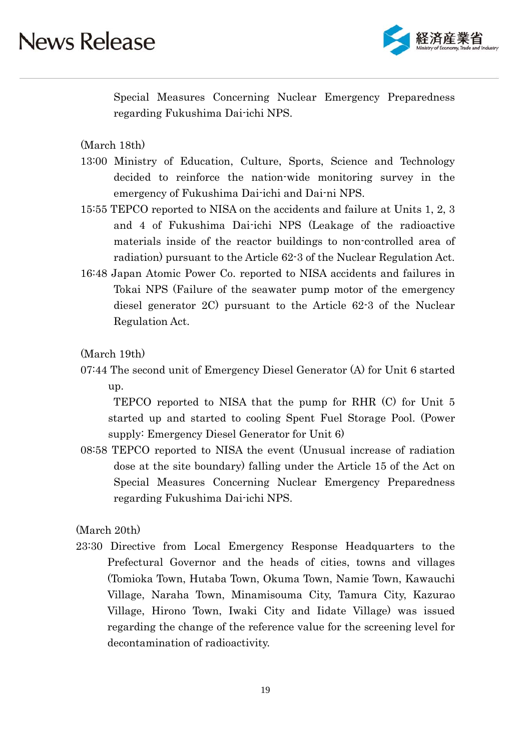

Special Measures Concerning Nuclear Emergency Preparedness regarding Fukushima Dai-ichi NPS.

(March 18th)

- 13:00 Ministry of Education, Culture, Sports, Science and Technology decided to reinforce the nation-wide monitoring survey in the emergency of Fukushima Dai-ichi and Dai-ni NPS.
- 15:55 TEPCO reported to NISA on the accidents and failure at Units 1, 2, 3 and 4 of Fukushima Dai-ichi NPS (Leakage of the radioactive materials inside of the reactor buildings to non-controlled area of radiation) pursuant to the Article 62-3 of the Nuclear Regulation Act.
- 16:48 Japan Atomic Power Co. reported to NISA accidents and failures in Tokai NPS (Failure of the seawater pump motor of the emergency diesel generator 2C) pursuant to the Article 62-3 of the Nuclear Regulation Act.

(March 19th)

07:44 The second unit of Emergency Diesel Generator (A) for Unit 6 started up.

 TEPCO reported to NISA that the pump for RHR (C) for Unit 5 started up and started to cooling Spent Fuel Storage Pool. (Power supply: Emergency Diesel Generator for Unit 6)

08:58 TEPCO reported to NISA the event (Unusual increase of radiation dose at the site boundary) falling under the Article 15 of the Act on Special Measures Concerning Nuclear Emergency Preparedness regarding Fukushima Dai-ichi NPS.

(March 20th)

23:30 Directive from Local Emergency Response Headquarters to the Prefectural Governor and the heads of cities, towns and villages (Tomioka Town, Hutaba Town, Okuma Town, Namie Town, Kawauchi Village, Naraha Town, Minamisouma City, Tamura City, Kazurao Village, Hirono Town, Iwaki City and Iidate Village) was issued regarding the change of the reference value for the screening level for decontamination of radioactivity.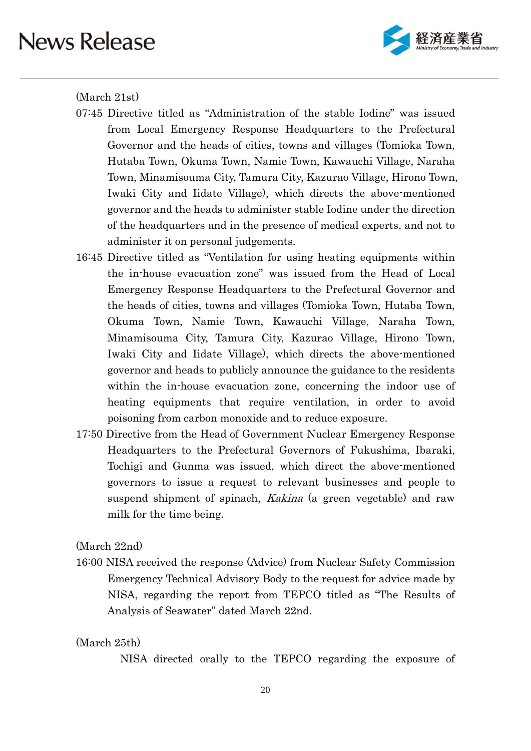

(March 21st)

- 07:45 Directive titled as "Administration of the stable Iodine" was issued from Local Emergency Response Headquarters to the Prefectural Governor and the heads of cities, towns and villages (Tomioka Town, Hutaba Town, Okuma Town, Namie Town, Kawauchi Village, Naraha Town, Minamisouma City, Tamura City, Kazurao Village, Hirono Town, Iwaki City and Iidate Village), which directs the above-mentioned governor and the heads to administer stable Iodine under the direction of the headquarters and in the presence of medical experts, and not to administer it on personal judgements.
- 16:45 Directive titled as "Ventilation for using heating equipments within the in-house evacuation zone" was issued from the Head of Local Emergency Response Headquarters to the Prefectural Governor and the heads of cities, towns and villages (Tomioka Town, Hutaba Town, Okuma Town, Namie Town, Kawauchi Village, Naraha Town, Minamisouma City, Tamura City, Kazurao Village, Hirono Town, Iwaki City and Iidate Village), which directs the above-mentioned governor and heads to publicly announce the guidance to the residents within the in-house evacuation zone, concerning the indoor use of heating equipments that require ventilation, in order to avoid poisoning from carbon monoxide and to reduce exposure.
- 17:50 Directive from the Head of Government Nuclear Emergency Response Headquarters to the Prefectural Governors of Fukushima, Ibaraki, Tochigi and Gunma was issued, which direct the above-mentioned governors to issue a request to relevant businesses and people to suspend shipment of spinach, *Kakina* (a green vegetable) and raw milk for the time being.

(March 22nd)

16:00 NISA received the response (Advice) from Nuclear Safety Commission Emergency Technical Advisory Body to the request for advice made by NISA, regarding the report from TEPCO titled as "The Results of Analysis of Seawater" dated March 22nd.

#### (March 25th)

NISA directed orally to the TEPCO regarding the exposure of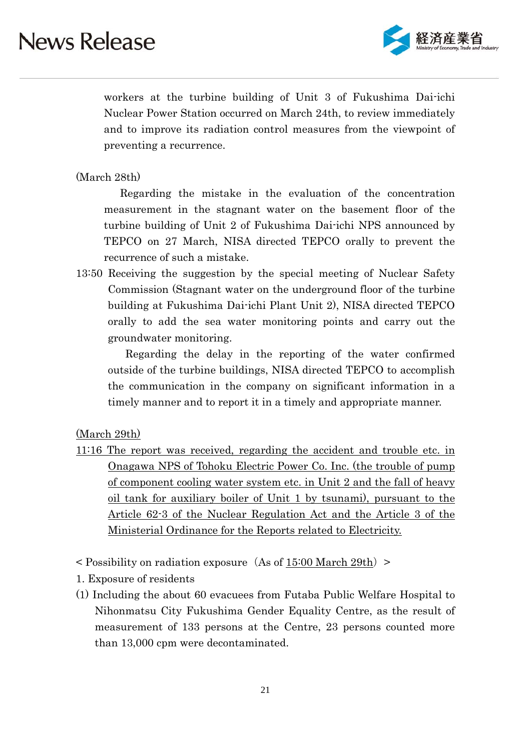

workers at the turbine building of Unit 3 of Fukushima Dai-ichi Nuclear Power Station occurred on March 24th, to review immediately and to improve its radiation control measures from the viewpoint of preventing a recurrence.

#### (March 28th)

 Regarding the mistake in the evaluation of the concentration measurement in the stagnant water on the basement floor of the turbine building of Unit 2 of Fukushima Dai-ichi NPS announced by TEPCO on 27 March, NISA directed TEPCO orally to prevent the recurrence of such a mistake.

13:50 Receiving the suggestion by the special meeting of Nuclear Safety Commission (Stagnant water on the underground floor of the turbine building at Fukushima Dai-ichi Plant Unit 2), NISA directed TEPCO orally to add the sea water monitoring points and carry out the groundwater monitoring.

 Regarding the delay in the reporting of the water confirmed outside of the turbine buildings, NISA directed TEPCO to accomplish the communication in the company on significant information in a timely manner and to report it in a timely and appropriate manner.

(March 29th)

- 11:16 The report was received, regarding the accident and trouble etc. in Onagawa NPS of Tohoku Electric Power Co. Inc. (the trouble of pump of component cooling water system etc. in Unit 2 and the fall of heavy oil tank for auxiliary boiler of Unit 1 by tsunami), pursuant to the Article 62-3 of the Nuclear Regulation Act and the Article 3 of the Ministerial Ordinance for the Reports related to Electricity.
- $\leq$  Possibility on radiation exposure (As of 15:00 March 29th)  $\geq$
- 1. Exposure of residents
- (1) Including the about 60 evacuees from Futaba Public Welfare Hospital to Nihonmatsu City Fukushima Gender Equality Centre, as the result of measurement of 133 persons at the Centre, 23 persons counted more than 13,000 cpm were decontaminated.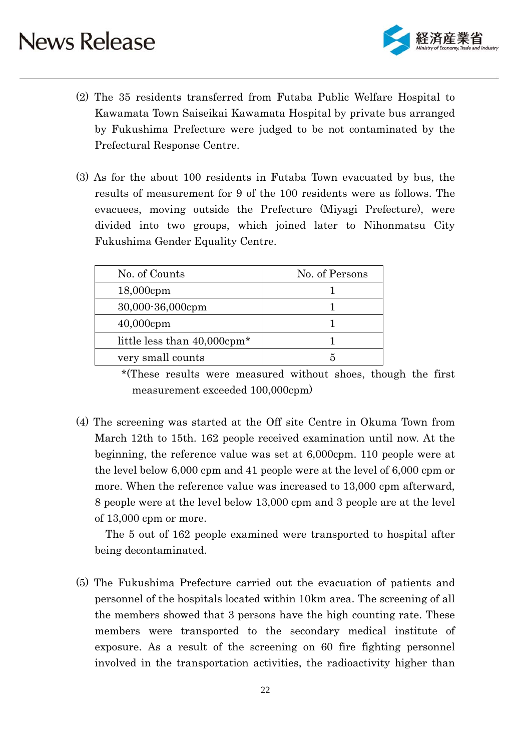

- (2) The 35 residents transferred from Futaba Public Welfare Hospital to Kawamata Town Saiseikai Kawamata Hospital by private bus arranged by Fukushima Prefecture were judged to be not contaminated by the Prefectural Response Centre.
- (3) As for the about 100 residents in Futaba Town evacuated by bus, the results of measurement for 9 of the 100 residents were as follows. The evacuees, moving outside the Prefecture (Miyagi Prefecture), were divided into two groups, which joined later to Nihonmatsu City Fukushima Gender Equality Centre.

| No. of Counts                           | No. of Persons |
|-----------------------------------------|----------------|
| 18,000cpm                               |                |
| 30,000-36,000cpm                        |                |
| $40,000$ cpm                            |                |
| little less than 40,000cpm <sup>*</sup> |                |
| very small counts                       |                |

 \*(These results were measured without shoes, though the first measurement exceeded 100,000cpm)

(4) The screening was started at the Off site Centre in Okuma Town from March 12th to 15th. 162 people received examination until now. At the beginning, the reference value was set at 6,000cpm. 110 people were at the level below 6,000 cpm and 41 people were at the level of 6,000 cpm or more. When the reference value was increased to 13,000 cpm afterward, 8 people were at the level below 13,000 cpm and 3 people are at the level of 13,000 cpm or more.

The 5 out of 162 people examined were transported to hospital after being decontaminated.

(5) The Fukushima Prefecture carried out the evacuation of patients and personnel of the hospitals located within 10km area. The screening of all the members showed that 3 persons have the high counting rate. These members were transported to the secondary medical institute of exposure. As a result of the screening on 60 fire fighting personnel involved in the transportation activities, the radioactivity higher than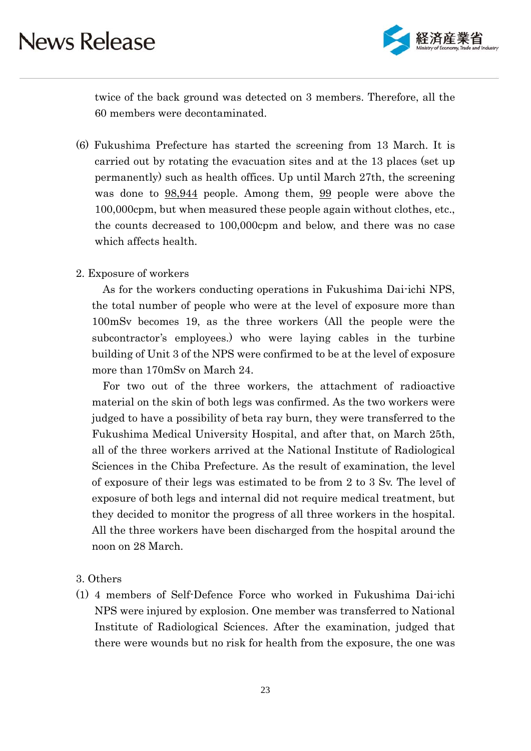

twice of the back ground was detected on 3 members. Therefore, all the 60 members were decontaminated.

(6) Fukushima Prefecture has started the screening from 13 March. It is carried out by rotating the evacuation sites and at the 13 places (set up permanently) such as health offices. Up until March 27th, the screening was done to  $98,944$  people. Among them, 99 people were above the 100,000cpm, but when measured these people again without clothes, etc., the counts decreased to 100,000cpm and below, and there was no case which affects health.

#### 2. Exposure of workers

As for the workers conducting operations in Fukushima Dai-ichi NPS, the total number of people who were at the level of exposure more than 100mSv becomes 19, as the three workers (All the people were the subcontractor's employees.) who were laying cables in the turbine building of Unit 3 of the NPS were confirmed to be at the level of exposure more than 170mSv on March 24.

For two out of the three workers, the attachment of radioactive material on the skin of both legs was confirmed. As the two workers were judged to have a possibility of beta ray burn, they were transferred to the Fukushima Medical University Hospital, and after that, on March 25th, all of the three workers arrived at the National Institute of Radiological Sciences in the Chiba Prefecture. As the result of examination, the level of exposure of their legs was estimated to be from 2 to 3 Sv. The level of exposure of both legs and internal did not require medical treatment, but they decided to monitor the progress of all three workers in the hospital. All the three workers have been discharged from the hospital around the noon on 28 March.

#### 3. Others

(1) 4 members of Self-Defence Force who worked in Fukushima Dai-ichi NPS were injured by explosion. One member was transferred to National Institute of Radiological Sciences. After the examination, judged that there were wounds but no risk for health from the exposure, the one was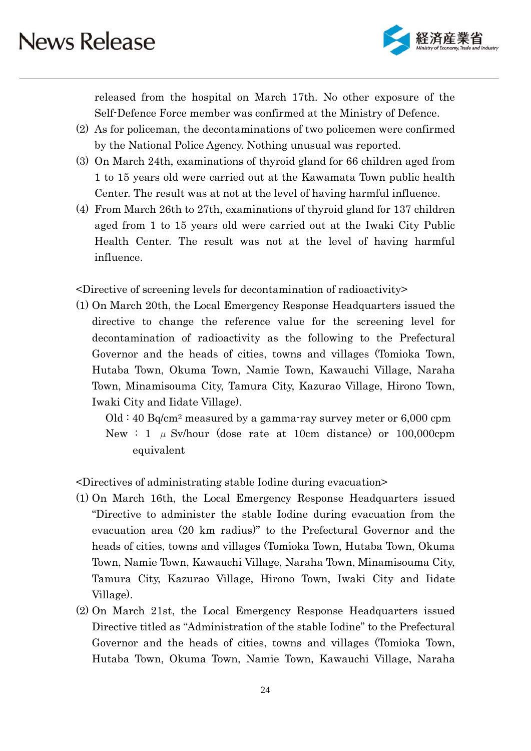

released from the hospital on March 17th. No other exposure of the Self-Defence Force member was confirmed at the Ministry of Defence.

- (2) As for policeman, the decontaminations of two policemen were confirmed by the National Police Agency. Nothing unusual was reported.
- (3) On March 24th, examinations of thyroid gland for 66 children aged from 1 to 15 years old were carried out at the Kawamata Town public health Center. The result was at not at the level of having harmful influence.
- (4) From March 26th to 27th, examinations of thyroid gland for 137 children aged from 1 to 15 years old were carried out at the Iwaki City Public Health Center. The result was not at the level of having harmful influence.

<Directive of screening levels for decontamination of radioactivity>

(1) On March 20th, the Local Emergency Response Headquarters issued the directive to change the reference value for the screening level for decontamination of radioactivity as the following to the Prefectural Governor and the heads of cities, towns and villages (Tomioka Town, Hutaba Town, Okuma Town, Namie Town, Kawauchi Village, Naraha Town, Minamisouma City, Tamura City, Kazurao Village, Hirono Town, Iwaki City and Iidate Village).

 $Old: 40 Bq/cm<sup>2</sup> measured by a gamma-ray survey meter or 6,000 rpm$ New : 1  $\mu$  Sv/hour (dose rate at 10cm distance) or 100,000cpm equivalent

<Directives of administrating stable Iodine during evacuation>

- (1) On March 16th, the Local Emergency Response Headquarters issued "Directive to administer the stable Iodine during evacuation from the evacuation area (20 km radius)" to the Prefectural Governor and the heads of cities, towns and villages (Tomioka Town, Hutaba Town, Okuma Town, Namie Town, Kawauchi Village, Naraha Town, Minamisouma City, Tamura City, Kazurao Village, Hirono Town, Iwaki City and Iidate Village).
- (2) On March 21st, the Local Emergency Response Headquarters issued Directive titled as "Administration of the stable Iodine" to the Prefectural Governor and the heads of cities, towns and villages (Tomioka Town, Hutaba Town, Okuma Town, Namie Town, Kawauchi Village, Naraha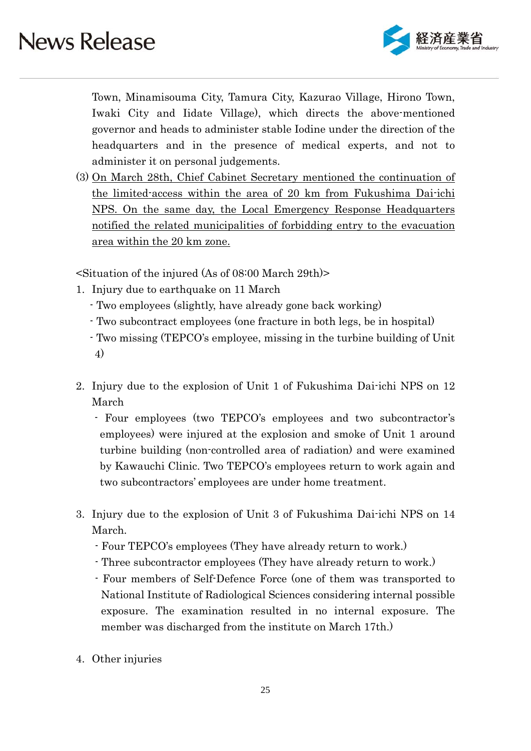

Town, Minamisouma City, Tamura City, Kazurao Village, Hirono Town, Iwaki City and Iidate Village), which directs the above-mentioned governor and heads to administer stable Iodine under the direction of the headquarters and in the presence of medical experts, and not to administer it on personal judgements.

(3) On March 28th, Chief Cabinet Secretary mentioned the continuation of the limited-access within the area of 20 km from Fukushima Dai-ichi NPS. On the same day, the Local Emergency Response Headquarters notified the related municipalities of forbidding entry to the evacuation area within the 20 km zone.

<Situation of the injured (As of 08:00 March 29th)>

- 1. Injury due to earthquake on 11 March
	- Two employees (slightly, have already gone back working)
	- Two subcontract employees (one fracture in both legs, be in hospital)
	- Two missing (TEPCO's employee, missing in the turbine building of Unit 4)
- 2. Injury due to the explosion of Unit 1 of Fukushima Dai-ichi NPS on 12 March
	- Four employees (two TEPCO's employees and two subcontractor's employees) were injured at the explosion and smoke of Unit 1 around turbine building (non-controlled area of radiation) and were examined by Kawauchi Clinic. Two TEPCO's employees return to work again and two subcontractors' employees are under home treatment.
- 3. Injury due to the explosion of Unit 3 of Fukushima Dai-ichi NPS on 14 March.
	- Four TEPCO's employees (They have already return to work.)
	- Three subcontractor employees (They have already return to work.)
	- Four members of Self-Defence Force (one of them was transported to National Institute of Radiological Sciences considering internal possible exposure. The examination resulted in no internal exposure. The member was discharged from the institute on March 17th.)
- 4. Other injuries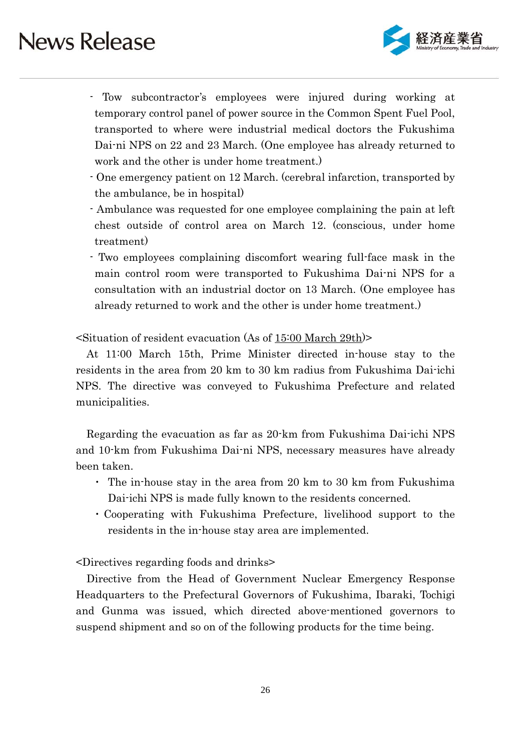

- Tow subcontractor's employees were injured during working at temporary control panel of power source in the Common Spent Fuel Pool, transported to where were industrial medical doctors the Fukushima Dai-ni NPS on 22 and 23 March. (One employee has already returned to work and the other is under home treatment.)
- One emergency patient on 12 March. (cerebral infarction, transported by the ambulance, be in hospital)
- Ambulance was requested for one employee complaining the pain at left chest outside of control area on March 12. (conscious, under home treatment)

- Two employees complaining discomfort wearing full-face mask in the main control room were transported to Fukushima Dai-ni NPS for a consultation with an industrial doctor on 13 March. (One employee has already returned to work and the other is under home treatment.)

<Situation of resident evacuation (As of 15:00 March 29th)>

At 11:00 March 15th, Prime Minister directed in-house stay to the residents in the area from 20 km to 30 km radius from Fukushima Dai-ichi NPS. The directive was conveyed to Fukushima Prefecture and related municipalities.

Regarding the evacuation as far as 20-km from Fukushima Dai-ichi NPS and 10-km from Fukushima Dai-ni NPS, necessary measures have already been taken.

- ・ The in-house stay in the area from 20 km to 30 km from Fukushima Dai-ichi NPS is made fully known to the residents concerned.
- ・Cooperating with Fukushima Prefecture, livelihood support to the residents in the in-house stay area are implemented.

<Directives regarding foods and drinks>

Directive from the Head of Government Nuclear Emergency Response Headquarters to the Prefectural Governors of Fukushima, Ibaraki, Tochigi and Gunma was issued, which directed above-mentioned governors to suspend shipment and so on of the following products for the time being.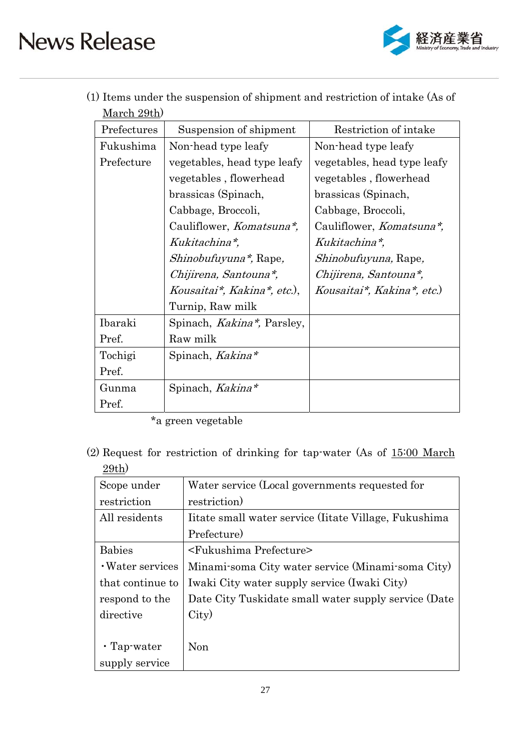

(1) Items under the suspension of shipment and restriction of intake (As of March 29th)

| Prefectures | Suspension of shipment      | Restriction of intake        |
|-------------|-----------------------------|------------------------------|
| Fukushima   | Non-head type leafy         | Non-head type leafy          |
| Prefecture  | vegetables, head type leafy | vegetables, head type leafy  |
|             | vegetables, flowerhead      | vegetables, flowerhead       |
|             | brassicas (Spinach,         | brassicas (Spinach,          |
|             | Cabbage, Broccoli,          | Cabbage, Broccoli,           |
|             | Cauliflower, Komatsuna*,    | Cauliflower, Komatsuna*,     |
|             | Kukitachina*,               | Kukitachina*,                |
|             | Shinobufuyuna*, Rape,       | <i>Shinobufuyuna</i> , Rape, |
|             | Chijirena, Santouna*,       | Chijirena, Santouna*,        |
|             | Kousaitai*, Kakina*, etc.), | Kousaitai*, Kakina*, etc.)   |
|             | Turnip, Raw milk            |                              |
| Ibaraki     | Spinach, Kakina*, Parsley,  |                              |
| Pref.       | Raw milk                    |                              |
| Tochigi     | Spinach, Kakina*            |                              |
| Pref.       |                             |                              |
| Gunma       | Spinach, Kakina*            |                              |
| Pref.       |                             |                              |

\*a green vegetable

(2) Request for restriction of drinking for tap-water (As of 15:00 March 29th)

| Scope under       | Water service (Local governments requested for        |
|-------------------|-------------------------------------------------------|
| restriction       | restriction)                                          |
| All residents     | Iitate small water service (Iitate Village, Fukushima |
|                   | Prefecture)                                           |
| <b>Babies</b>     | <fukushima prefecture=""></fukushima>                 |
| · Water services  | Minami-soma City water service (Minami-soma City)     |
| that continue to  | Iwaki City water supply service (Iwaki City)          |
| respond to the    | Date City Tuskidate small water supply service (Date  |
| directive         | City)                                                 |
|                   |                                                       |
| $\cdot$ Tap-water | Non                                                   |
| supply service    |                                                       |